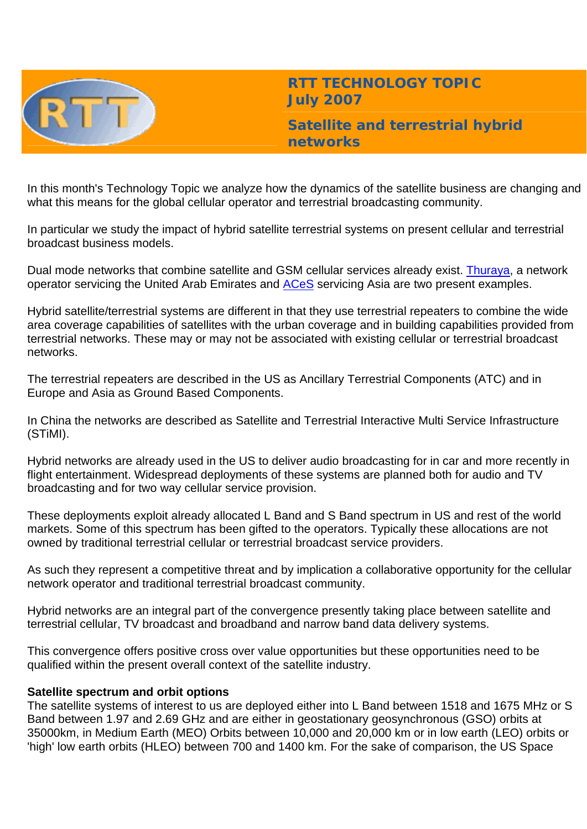

**RTT TECHNOLOGY TOPIC July 2007**

**Satellite and terrestrial hybrid networks** 

In this month's Technology Topic we analyze how the dynamics of the satellite business are changing and what this means for the global cellular operator and terrestrial broadcasting community.

In particular we study the impact of hybrid satellite terrestrial systems on present cellular and terrestrial broadcast business models.

Dual mode networks that combine satellite and GSM cellular services already exist. [Thuraya](http://www.thuraya.com/), a network operator servicing the United Arab Emirates and **ACeS** servicing Asia are two present examples.

Hybrid satellite/terrestrial systems are different in that they use terrestrial repeaters to combine the wide area coverage capabilities of satellites with the urban coverage and in building capabilities provided from terrestrial networks. These may or may not be associated with existing cellular or terrestrial broadcast networks.

The terrestrial repeaters are described in the US as Ancillary Terrestrial Components (ATC) and in Europe and Asia as Ground Based Components.

In China the networks are described as Satellite and Terrestrial Interactive Multi Service Infrastructure (STiMI).

Hybrid networks are already used in the US to deliver audio broadcasting for in car and more recently in flight entertainment. Widespread deployments of these systems are planned both for audio and TV broadcasting and for two way cellular service provision.

These deployments exploit already allocated L Band and S Band spectrum in US and rest of the world markets. Some of this spectrum has been gifted to the operators. Typically these allocations are not owned by traditional terrestrial cellular or terrestrial broadcast service providers.

As such they represent a competitive threat and by implication a collaborative opportunity for the cellular network operator and traditional terrestrial broadcast community.

Hybrid networks are an integral part of the convergence presently taking place between satellite and terrestrial cellular, TV broadcast and broadband and narrow band data delivery systems.

This convergence offers positive cross over value opportunities but these opportunities need to be qualified within the present overall context of the satellite industry.

## **Satellite spectrum and orbit options**

The satellite systems of interest to us are deployed either into L Band between 1518 and 1675 MHz or S Band between 1.97 and 2.69 GHz and are either in geostationary geosynchronous (GSO) orbits at 35000km, in Medium Earth (MEO) Orbits between 10,000 and 20,000 km or in low earth (LEO) orbits or 'high' low earth orbits (HLEO) between 700 and 1400 km. For the sake of comparison, the US Space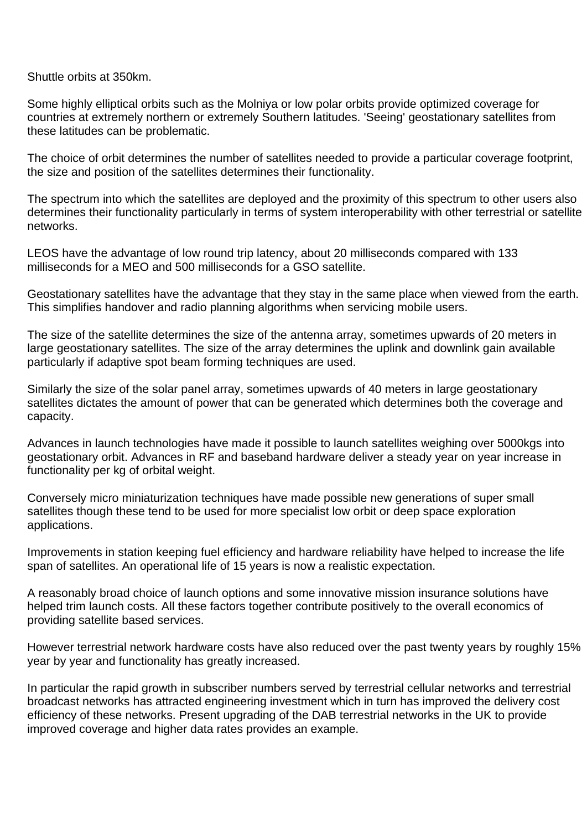Shuttle orbits at 350km.

Some highly elliptical orbits such as the Molniya or low polar orbits provide optimized coverage for countries at extremely northern or extremely Southern latitudes. 'Seeing' geostationary satellites from these latitudes can be problematic.

The choice of orbit determines the number of satellites needed to provide a particular coverage footprint, the size and position of the satellites determines their functionality.

The spectrum into which the satellites are deployed and the proximity of this spectrum to other users also determines their functionality particularly in terms of system interoperability with other terrestrial or satellite networks.

LEOS have the advantage of low round trip latency, about 20 milliseconds compared with 133 milliseconds for a MEO and 500 milliseconds for a GSO satellite.

Geostationary satellites have the advantage that they stay in the same place when viewed from the earth. This simplifies handover and radio planning algorithms when servicing mobile users.

The size of the satellite determines the size of the antenna array, sometimes upwards of 20 meters in large geostationary satellites. The size of the array determines the uplink and downlink gain available particularly if adaptive spot beam forming techniques are used.

Similarly the size of the solar panel array, sometimes upwards of 40 meters in large geostationary satellites dictates the amount of power that can be generated which determines both the coverage and capacity.

Advances in launch technologies have made it possible to launch satellites weighing over 5000kgs into geostationary orbit. Advances in RF and baseband hardware deliver a steady year on year increase in functionality per kg of orbital weight.

Conversely micro miniaturization techniques have made possible new generations of super small satellites though these tend to be used for more specialist low orbit or deep space exploration applications.

Improvements in station keeping fuel efficiency and hardware reliability have helped to increase the life span of satellites. An operational life of 15 years is now a realistic expectation.

A reasonably broad choice of launch options and some innovative mission insurance solutions have helped trim launch costs. All these factors together contribute positively to the overall economics of providing satellite based services.

However terrestrial network hardware costs have also reduced over the past twenty years by roughly 15% year by year and functionality has greatly increased.

In particular the rapid growth in subscriber numbers served by terrestrial cellular networks and terrestrial broadcast networks has attracted engineering investment which in turn has improved the delivery cost efficiency of these networks. Present upgrading of the DAB terrestrial networks in the UK to provide improved coverage and higher data rates provides an example.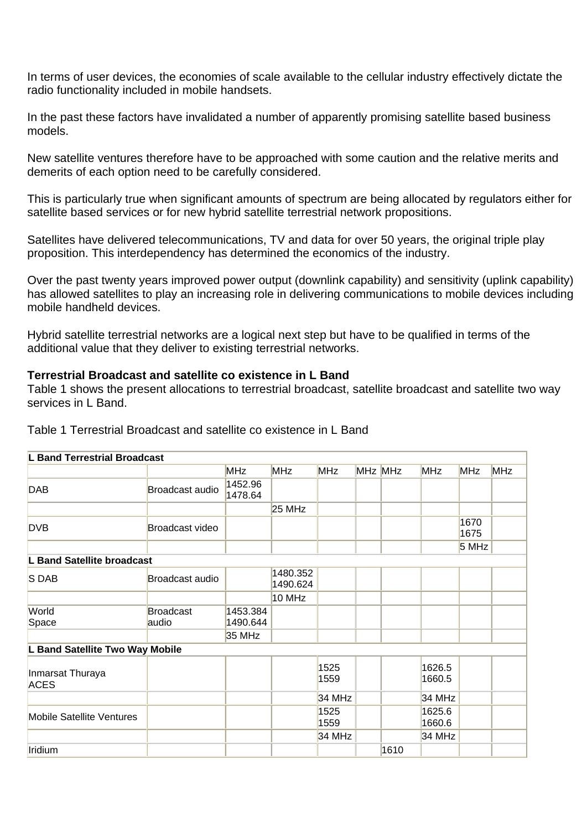In terms of user devices, the economies of scale available to the cellular industry effectively dictate the radio functionality included in mobile handsets.

In the past these factors have invalidated a number of apparently promising satellite based business models.

New satellite ventures therefore have to be approached with some caution and the relative merits and demerits of each option need to be carefully considered.

This is particularly true when significant amounts of spectrum are being allocated by regulators either for satellite based services or for new hybrid satellite terrestrial network propositions.

Satellites have delivered telecommunications, TV and data for over 50 years, the original triple play proposition. This interdependency has determined the economics of the industry.

Over the past twenty years improved power output (downlink capability) and sensitivity (uplink capability) has allowed satellites to play an increasing role in delivering communications to mobile devices including mobile handheld devices.

Hybrid satellite terrestrial networks are a logical next step but have to be qualified in terms of the additional value that they deliver to existing terrestrial networks.

## **Terrestrial Broadcast and satellite co existence in L Band**

Table 1 shows the present allocations to terrestrial broadcast, satellite broadcast and satellite two way services in L Band.

| <b>L Band Terrestrial Broadcast</b> |                           |                      |                      |              |         |                  |              |            |
|-------------------------------------|---------------------------|----------------------|----------------------|--------------|---------|------------------|--------------|------------|
|                                     |                           | <b>MHz</b>           | <b>MHz</b>           | <b>MHz</b>   | MHz MHz | <b>MHz</b>       | <b>MHz</b>   | <b>MHz</b> |
| <b>DAB</b>                          | Broadcast audio           | 1452.96<br>1478.64   |                      |              |         |                  |              |            |
|                                     |                           |                      | <b>25 MHz</b>        |              |         |                  |              |            |
| <b>DVB</b>                          | Broadcast video           |                      |                      |              |         |                  | 1670<br>1675 |            |
|                                     |                           |                      |                      |              |         |                  | 5 MHz        |            |
| L Band Satellite broadcast          |                           |                      |                      |              |         |                  |              |            |
| S DAB                               | Broadcast audio           |                      | 1480.352<br>1490.624 |              |         |                  |              |            |
|                                     |                           |                      | 10 MHz               |              |         |                  |              |            |
| World<br>Space                      | <b>Broadcast</b><br>audio | 1453.384<br>1490.644 |                      |              |         |                  |              |            |
|                                     |                           | 35 MHz               |                      |              |         |                  |              |            |
| L Band Satellite Two Way Mobile     |                           |                      |                      |              |         |                  |              |            |
| Inmarsat Thuraya<br><b>ACES</b>     |                           |                      |                      | 1525<br>1559 |         | 1626.5<br>1660.5 |              |            |
|                                     |                           |                      |                      | 34 MHz       |         | 34 MHz           |              |            |
| <b>Mobile Satellite Ventures</b>    |                           |                      |                      | 1525<br>1559 |         | 1625.6<br>1660.6 |              |            |
|                                     |                           |                      |                      | 34 MHz       |         | 34 MHz           |              |            |
| Iridium                             |                           |                      |                      |              | 1610    |                  |              |            |

Table 1 Terrestrial Broadcast and satellite co existence in L Band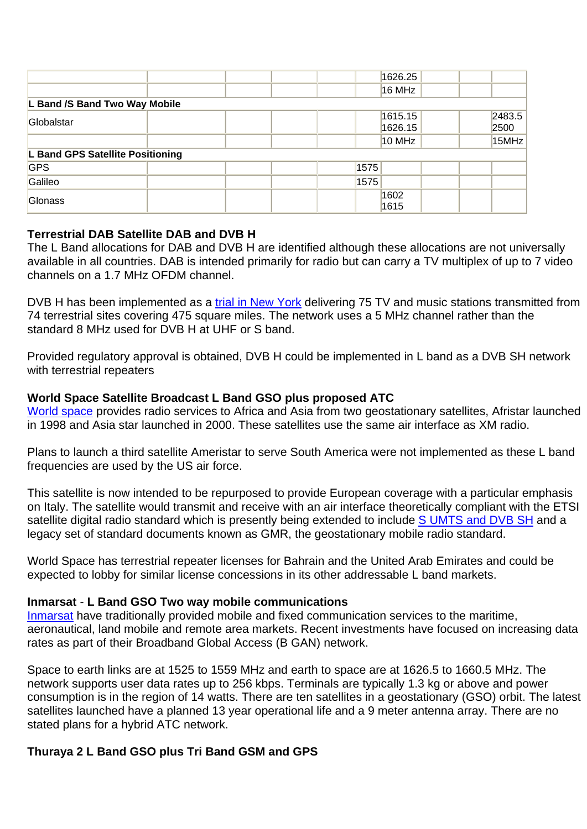|                                  |  | 1626.25 |              |
|----------------------------------|--|---------|--------------|
|                                  |  | 16 MHz  |              |
| L Band /S Band Two Way Mobile    |  |         |              |
|                                  |  | 1615.15 | 2483.5       |
|                                  |  | 1626.15 | 2500         |
|                                  |  | 10 MHz  | 15MHz        |
| L Band GPS Satellite Positioning |  |         |              |
|                                  |  |         |              |
|                                  |  |         |              |
|                                  |  | 1602    |              |
|                                  |  | 1615    |              |
|                                  |  |         | 1575<br>1575 |

## **Terrestrial DAB Satellite DAB and DVB H**

The L Band allocations for DAB and DVB H are identified although these allocations are not universally available in all countries. DAB is intended primarily for radio but can carry a TV multiplex of up to 7 video channels on a 1.7 MHz OFDM channel.

DVB H has been implemented as a [trial in New York](http://www.dvb-h.org/Services/services-usa-modeo.htm.com/) delivering 75 TV and music stations transmitted from 74 terrestrial sites covering 475 square miles. The network uses a 5 MHz channel rather than the standard 8 MHz used for DVB H at UHF or S band.

Provided regulatory approval is obtained, DVB H could be implemented in L band as a DVB SH network with terrestrial repeaters

# **World Space Satellite Broadcast L Band GSO plus proposed ATC**

[World space](http://www.worldspace.com/) provides radio services to Africa and Asia from two geostationary satellites, Afristar launched in 1998 and Asia star launched in 2000. These satellites use the same air interface as XM radio.

Plans to launch a third satellite Ameristar to serve South America were not implemented as these L band frequencies are used by the US air force.

This satellite is now intended to be repurposed to provide European coverage with a particular emphasis on Italy. The satellite would transmit and receive with an air interface theoretically compliant with the ETSI satellite digital radio standard which is presently being extended to include **[S UMTS and DVB SH](http://www.etsi.org/pressroom/Previous/2007/2007_02_ses_sdr.htm)** and a legacy set of standard documents known as GMR, the geostationary mobile radio standard.

World Space has terrestrial repeater licenses for Bahrain and the United Arab Emirates and could be expected to lobby for similar license concessions in its other addressable L band markets.

## **Inmarsat** - **L Band GSO Two way mobile communications**

[Inmarsat](http://www.inmarsat.com/) have traditionally provided mobile and fixed communication services to the maritime, aeronautical, land mobile and remote area markets. Recent investments have focused on increasing data rates as part of their Broadband Global Access (B GAN) network.

Space to earth links are at 1525 to 1559 MHz and earth to space are at 1626.5 to 1660.5 MHz. The network supports user data rates up to 256 kbps. Terminals are typically 1.3 kg or above and power consumption is in the region of 14 watts. There are ten satellites in a geostationary (GSO) orbit. The latest satellites launched have a planned 13 year operational life and a 9 meter antenna array. There are no stated plans for a hybrid ATC network.

# **Thuraya 2 L Band GSO plus Tri Band GSM and GPS**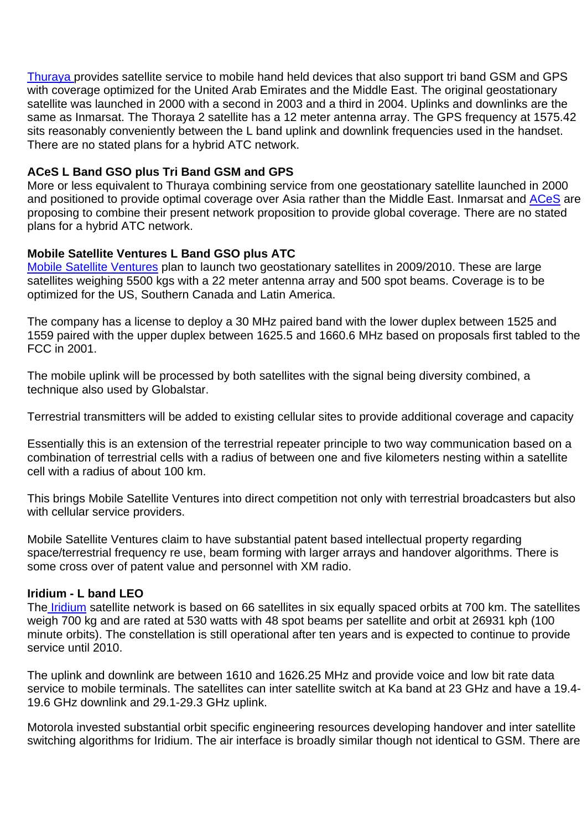[Thuraya](http://www.thuraya.com/) provides satellite service to mobile hand held devices that also support tri band GSM and GPS with coverage optimized for the United Arab Emirates and the Middle East. The original geostationary satellite was launched in 2000 with a second in 2003 and a third in 2004. Uplinks and downlinks are the same as Inmarsat. The Thoraya 2 satellite has a 12 meter antenna array. The GPS frequency at 1575.42 sits reasonably conveniently between the L band uplink and downlink frequencies used in the handset. There are no stated plans for a hybrid ATC network.

## **ACeS L Band GSO plus Tri Band GSM and GPS**

More or less equivalent to Thuraya combining service from one geostationary satellite launched in 2000 and positioned to provide optimal coverage over Asia rather than the Middle East. Inmarsat and [ACeS](http://www.acesinternational.com/) are proposing to combine their present network proposition to provide global coverage. There are no stated plans for a hybrid ATC network.

## **Mobile Satellite Ventures L Band GSO plus ATC**

[Mobile Satellite Ventures](http://www.msvlp.com/) plan to launch two geostationary satellites in 2009/2010. These are large satellites weighing 5500 kgs with a 22 meter antenna array and 500 spot beams. Coverage is to be optimized for the US, Southern Canada and Latin America.

The company has a license to deploy a 30 MHz paired band with the lower duplex between 1525 and 1559 paired with the upper duplex between 1625.5 and 1660.6 MHz based on proposals first tabled to the FCC in 2001.

The mobile uplink will be processed by both satellites with the signal being diversity combined, a technique also used by Globalstar.

Terrestrial transmitters will be added to existing cellular sites to provide additional coverage and capacity

Essentially this is an extension of the terrestrial repeater principle to two way communication based on a combination of terrestrial cells with a radius of between one and five kilometers nesting within a satellite cell with a radius of about 100 km.

This brings Mobile Satellite Ventures into direct competition not only with terrestrial broadcasters but also with cellular service providers.

Mobile Satellite Ventures claim to have substantial patent based intellectual property regarding space/terrestrial frequency re use, beam forming with larger arrays and handover algorithms. There is some cross over of patent value and personnel with XM radio.

## **Iridium - L band LEO**

The **Iridium** satellite network is based on 66 satellites in six equally spaced orbits at 700 km. The satellites weigh 700 kg and are rated at 530 watts with 48 spot beams per satellite and orbit at 26931 kph (100 minute orbits). The constellation is still operational after ten years and is expected to continue to provide service until 2010.

The uplink and downlink are between 1610 and 1626.25 MHz and provide voice and low bit rate data service to mobile terminals. The satellites can inter satellite switch at Ka band at 23 GHz and have a 19.4- 19.6 GHz downlink and 29.1-29.3 GHz uplink.

Motorola invested substantial orbit specific engineering resources developing handover and inter satellite switching algorithms for Iridium. The air interface is broadly similar though not identical to GSM. There are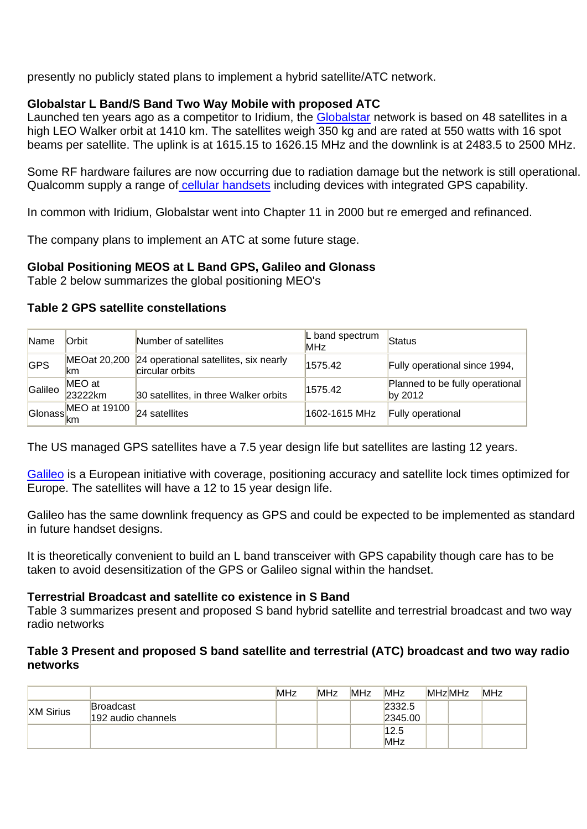presently no publicly stated plans to implement a hybrid satellite/ATC network.

# **Globalstar L Band/S Band Two Way Mobile with proposed ATC**

Launched ten years ago as a competitor to Iridium, the [Globalstar](http://www.globalstar.com/) network is based on 48 satellites in a high LEO Walker orbit at 1410 km. The satellites weigh 350 kg and are rated at 550 watts with 16 spot beams per satellite. The uplink is at 1615.15 to 1626.15 MHz and the downlink is at 2483.5 to 2500 MHz.

Some RF hardware failures are now occurring due to radiation damage but the network is still operational. Qualcomm supply a range o[f cellular handsets](http://www.satphone.co.uk/networks/globalstar/gsp1600.shtml) including devices with integrated GPS capability.

In common with Iridium, Globalstar went into Chapter 11 in 2000 but re emerged and refinanced.

The company plans to implement an ATC at some future stage.

# **Global Positioning MEOS at L Band GPS, Galileo and Glonass**

Table 2 below summarizes the global positioning MEO's

## **Table 2 GPS satellite constellations**

| <b>Name</b> | Orbit                        | Number of satellites                                     | L band spectrum<br><b>MHz</b> | Status                                       |
|-------------|------------------------------|----------------------------------------------------------|-------------------------------|----------------------------------------------|
| <b>GPS</b>  | MEOat 20,200<br>km           | 24 operational satellites, six nearly<br>circular orbits | 1575.42                       | Fully operational since 1994,                |
| Galileo     | MEO at<br>23222km            | 30 satellites, in three Walker orbits                    | 1575.42                       | Planned to be fully operational<br>by $2012$ |
|             | $\frac{L2211}{MEO at 19100}$ | 24 satellites                                            | 1602-1615 MHz                 | Fully operational                            |

The US managed GPS satellites have a 7.5 year design life but satellites are lasting 12 years.

[Galileo](http://ec.europa.eu/enterprise/space/programmes/galileo_en.html) is a European initiative with coverage, positioning accuracy and satellite lock times optimized for Europe. The satellites will have a 12 to 15 year design life.

Galileo has the same downlink frequency as GPS and could be expected to be implemented as standard in future handset designs.

It is theoretically convenient to build an L band transceiver with GPS capability though care has to be taken to avoid desensitization of the GPS or Galileo signal within the handset.

## **Terrestrial Broadcast and satellite co existence in S Band**

Table 3 summarizes present and proposed S band hybrid satellite and terrestrial broadcast and two way radio networks

## **Table 3 Present and proposed S band satellite and terrestrial (ATC) broadcast and two way radio networks**

|                  |                                        | <b>MHz</b> | <b>MHz</b> | <b>MHz</b> | <b>MHz</b>        | <b>MHzMHz</b> | <b>MHz</b> |
|------------------|----------------------------------------|------------|------------|------------|-------------------|---------------|------------|
| <b>XM Sirius</b> | <b>Broadcast</b><br>192 audio channels |            |            |            | 2332.5<br>2345.00 |               |            |
|                  |                                        |            |            |            | 12.5<br>MHz       |               |            |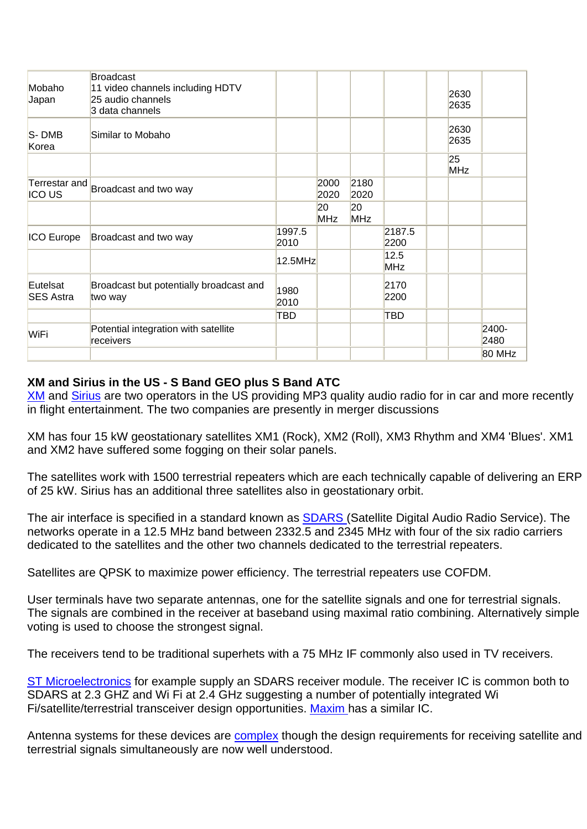| Mobaho<br>Japan              | <b>Broadcast</b><br>11 video channels including HDTV<br>25 audio channels<br>3 data channels |                |                  |                  |                | 2630<br>2635     |               |
|------------------------------|----------------------------------------------------------------------------------------------|----------------|------------------|------------------|----------------|------------------|---------------|
| S-DMB<br>Korea               | Similar to Mobaho                                                                            |                |                  |                  |                | 2630<br>2635     |               |
|                              |                                                                                              |                |                  |                  |                | 25<br><b>MHz</b> |               |
| <b>ICOUS</b>                 | Terrestar and Broadcast and two way                                                          |                | 2000<br>2020     | 2180<br>2020     |                |                  |               |
|                              |                                                                                              |                | 20<br><b>MHz</b> | 20<br><b>MHz</b> |                |                  |               |
| <b>ICO Europe</b>            | Broadcast and two way                                                                        | 1997.5<br>2010 |                  |                  | 2187.5<br>2200 |                  |               |
|                              |                                                                                              | 12.5MHz        |                  |                  | 12.5<br>MHz    |                  |               |
| Eutelsat<br><b>SES Astra</b> | Broadcast but potentially broadcast and<br>two way                                           | 1980<br>2010   |                  |                  | 2170<br>2200   |                  |               |
|                              |                                                                                              | TBD            |                  |                  | TBD            |                  |               |
| WiFi                         | Potential integration with satellite<br>receivers                                            |                |                  |                  |                |                  | 2400-<br>2480 |
|                              |                                                                                              |                |                  |                  |                |                  | 80 MHz        |

# **XM and Sirius in the US - S Band GEO plus S Band ATC**

[XM](http://xmro.xmradio.com/xstream/index.jsp) and [Sirius](http://www.sirius.com/servlet/ContentServer?pagename=Sirius/CachedPage&c=Page&cid=1018209032790) are two operators in the US providing MP3 quality audio radio for in car and more recently in flight entertainment. The two companies are presently in merger discussions

XM has four 15 kW geostationary satellites XM1 (Rock), XM2 (Roll), XM3 Rhythm and XM4 'Blues'. XM1 and XM2 have suffered some fogging on their solar panels.

The satellites work with 1500 terrestrial repeaters which are each technically capable of delivering an ERP of 25 kW. Sirius has an additional three satellites also in geostationary orbit.

The air interface is specified in a standard known as **SDARS (Satellite Digital Audio Radio Service)**. The networks operate in a 12.5 MHz band between 2332.5 and 2345 MHz with four of the six radio carriers dedicated to the satellites and the other two channels dedicated to the terrestrial repeaters.

Satellites are QPSK to maximize power efficiency. The terrestrial repeaters use COFDM.

User terminals have two separate antennas, one for the satellite signals and one for terrestrial signals. The signals are combined in the receiver at baseband using maximal ratio combining. Alternatively simple voting is used to choose the strongest signal.

The receivers tend to be traditional superhets with a 75 MHz IF commonly also used in TV receivers.

[ST Microelectronics](http://www.st.com/stonline/products/literature/bd/13651/sta240.htm) for example supply an SDARS receiver module. The receiver IC is common both to SDARS at 2.3 GHZ and Wi Fi at 2.4 GHz suggesting a number of potentially integrated Wi Fi/satellite/terrestrial transceiver design opportunities. [Maxim](http://www.maxim-ic.com/quick_view2.cfm/qv_pk/4168) has a similar IC.

Antenna systems for these devices are **[complex](http://www.mwrf.com/Articles/Index.cfm?Ad=1&ArticleID=5892)** though the design requirements for receiving satellite and terrestrial signals simultaneously are now well understood.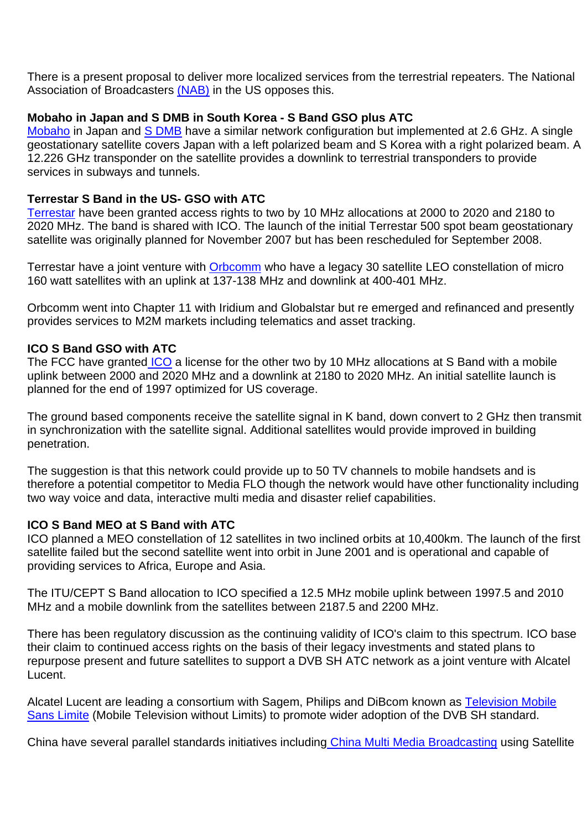There is a present proposal to deliver more localized services from the terrestrial repeaters. The National Association of Broadcasters [\(NAB\)](http://www.nab.org/AM/Template.cfm?Section=Legislative_and_Regulatory&CONTENTID=8472&TEMPLATE=/CM/ContentDisplay.cfm) in the US opposes this.

## **Mobaho in Japan and S DMB in South Korea - S Band GSO plus ATC**

[Mobaho](http://www.mobaho.com/english/support/mobaho.html) in Japan and [S DMB](http://www.mobaho.com/english/support/mobaho.html) have a similar network configuration but implemented at 2.6 GHz. A single geostationary satellite covers Japan with a left polarized beam and S Korea with a right polarized beam. A 12.226 GHz transponder on the satellite provides a downlink to terrestrial transponders to provide services in subways and tunnels.

## **Terrestar S Band in the US- GSO with ATC**

[Terrestar](http://www.terrestar.com/) have been granted access rights to two by 10 MHz allocations at 2000 to 2020 and 2180 to 2020 MHz. The band is shared with ICO. The launch of the initial Terrestar 500 spot beam geostationary satellite was originally planned for November 2007 but has been rescheduled for September 2008.

Terrestar have a joint venture with [Orbcomm](http://www.orbcomm.com/) who have a legacy 30 satellite LEO constellation of micro 160 watt satellites with an uplink at 137-138 MHz and downlink at 400-401 MHz.

Orbcomm went into Chapter 11 with Iridium and Globalstar but re emerged and refinanced and presently provides services to M2M markets including telematics and asset tracking.

## **ICO S Band GSO with ATC**

The FCC have granted [ICO](http://www.ico.com/) a license for the other two by 10 MHz allocations at S Band with a mobile uplink between 2000 and 2020 MHz and a downlink at 2180 to 2020 MHz. An initial satellite launch is planned for the end of 1997 optimized for US coverage.

The ground based components receive the satellite signal in K band, down convert to 2 GHz then transmit in synchronization with the satellite signal. Additional satellites would provide improved in building penetration.

The suggestion is that this network could provide up to 50 TV channels to mobile handsets and is therefore a potential competitor to Media FLO though the network would have other functionality including two way voice and data, interactive multi media and disaster relief capabilities.

## **ICO S Band MEO at S Band with ATC**

ICO planned a MEO constellation of 12 satellites in two inclined orbits at 10,400km. The launch of the first satellite failed but the second satellite went into orbit in June 2001 and is operational and capable of providing services to Africa, Europe and Asia.

The ITU/CEPT S Band allocation to ICO specified a 12.5 MHz mobile uplink between 1997.5 and 2010 MHz and a mobile downlink from the satellites between 2187.5 and 2200 MHz.

There has been regulatory discussion as the continuing validity of ICO's claim to this spectrum. ICO base their claim to continued access rights on the basis of their legacy investments and stated plans to repurpose present and future satellites to support a DVB SH ATC network as a joint venture with Alcatel Lucent.

Alcatel Lucent are leading a consortium with Sagem, Philips and DiBcom known as [Television Mobile](http://www.generation-nt.com/alliance-alcatel-archos-pour-la-tv-mobile-dvb-h-en-bande-s-actualite-40220.html)  [Sans Limite](http://www.generation-nt.com/alliance-alcatel-archos-pour-la-tv-mobile-dvb-h-en-bande-s-actualite-40220.html) (Mobile Television without Limits) to promote wider adoption of the DVB SH standard.

China have several parallel standards initiatives including [China Multi Media Broadcasting](http://eetimes.eu/wireless/198700962) using Satellite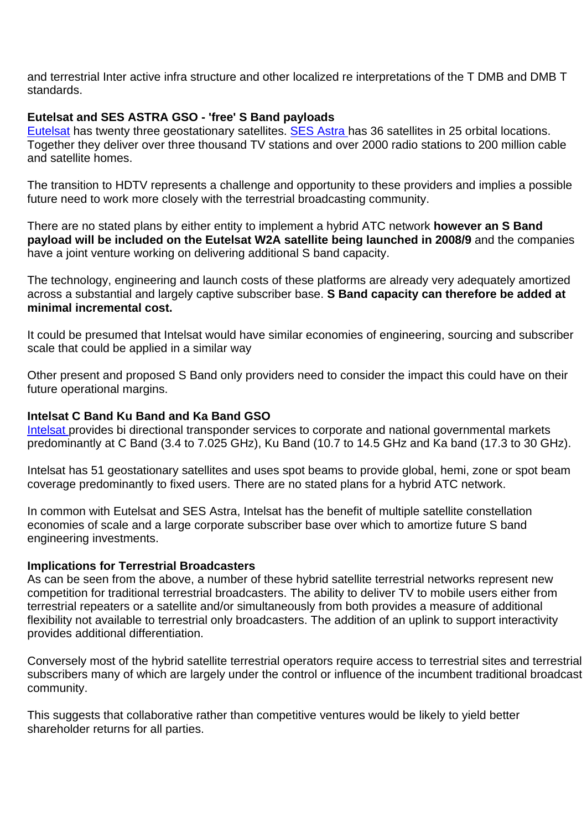and terrestrial Inter active infra structure and other localized re interpretations of the T DMB and DMB T standards.

## **Eutelsat and SES ASTRA GSO - 'free' S Band payloads**

[Eutelsat](http://www.eutelsat.com/home/index.html) has twenty three geostationary satellites. [SES Astra](http://www.ses-astra.com/landingPage/) has 36 satellites in 25 orbital locations. Together they deliver over three thousand TV stations and over 2000 radio stations to 200 million cable and satellite homes.

The transition to HDTV represents a challenge and opportunity to these providers and implies a possible future need to work more closely with the terrestrial broadcasting community.

There are no stated plans by either entity to implement a hybrid ATC network **however an S Band payload will be included on the Eutelsat W2A satellite being launched in 2008/9** and the companies have a joint venture working on delivering additional S band capacity.

The technology, engineering and launch costs of these platforms are already very adequately amortized across a substantial and largely captive subscriber base. **S Band capacity can therefore be added at minimal incremental cost.**

It could be presumed that Intelsat would have similar economies of engineering, sourcing and subscriber scale that could be applied in a similar way

Other present and proposed S Band only providers need to consider the impact this could have on their future operational margins.

## **Intelsat C Band Ku Band and Ka Band GSO**

[Intelsat p](http://www.intelsat.com/)rovides bi directional transponder services to corporate and national governmental markets predominantly at C Band (3.4 to 7.025 GHz), Ku Band (10.7 to 14.5 GHz and Ka band (17.3 to 30 GHz).

Intelsat has 51 geostationary satellites and uses spot beams to provide global, hemi, zone or spot beam coverage predominantly to fixed users. There are no stated plans for a hybrid ATC network.

In common with Eutelsat and SES Astra, Intelsat has the benefit of multiple satellite constellation economies of scale and a large corporate subscriber base over which to amortize future S band engineering investments.

## **Implications for Terrestrial Broadcasters**

As can be seen from the above, a number of these hybrid satellite terrestrial networks represent new competition for traditional terrestrial broadcasters. The ability to deliver TV to mobile users either from terrestrial repeaters or a satellite and/or simultaneously from both provides a measure of additional flexibility not available to terrestrial only broadcasters. The addition of an uplink to support interactivity provides additional differentiation.

Conversely most of the hybrid satellite terrestrial operators require access to terrestrial sites and terrestrial subscribers many of which are largely under the control or influence of the incumbent traditional broadcast community.

This suggests that collaborative rather than competitive ventures would be likely to yield better shareholder returns for all parties.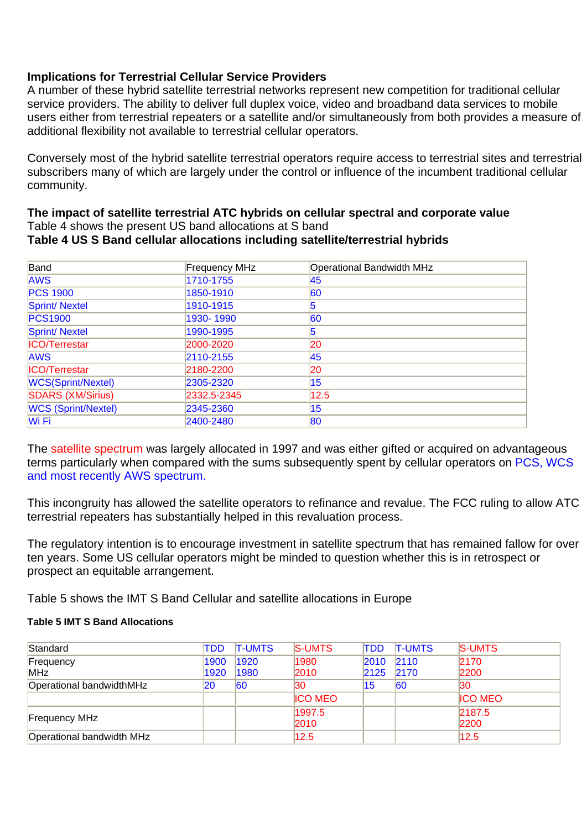## **Implications for Terrestrial Cellular Service Providers**

A number of these hybrid satellite terrestrial networks represent new competition for traditional cellular service providers. The ability to deliver full duplex voice, video and broadband data services to mobile users either from terrestrial repeaters or a satellite and/or simultaneously from both provides a measure of additional flexibility not available to terrestrial cellular operators.

Conversely most of the hybrid satellite terrestrial operators require access to terrestrial sites and terrestrial subscribers many of which are largely under the control or influence of the incumbent traditional cellular community.

#### **The impact of satellite terrestrial ATC hybrids on cellular spectral and corporate value** Table 4 shows the present US band allocations at S band **Table 4 US S Band cellular allocations including satellite/terrestrial hybrids**

| Band                       | <b>Frequency MHz</b> | <b>Operational Bandwidth MHz</b> |
|----------------------------|----------------------|----------------------------------|
| <b>AWS</b>                 | 1710-1755            | 45                               |
| <b>PCS 1900</b>            | 1850-1910            | 60                               |
| Sprint/Nextel              | 1910-1915            | 5                                |
| <b>PCS1900</b>             | 1930-1990            | 60                               |
| Sprint/Nextel              | 1990-1995            | 15                               |
| <b>ICO/Terrestar</b>       | 2000-2020            | 20                               |
| <b>AWS</b>                 | 2110-2155            | 45                               |
| <b>ICO/Terrestar</b>       | 2180-2200            | 20                               |
| <b>WCS(Sprint/Nextel)</b>  | 2305-2320            | 15 <sub>1</sub>                  |
| SDARS (XM/Sirius)          | 2332.5-2345          | 12.5                             |
| <b>WCS (Sprint/Nextel)</b> | 2345-2360            | 15                               |
| Wi Fi                      | 2400-2480            | 80                               |

The satellite spectrum was largely allocated in 1997 and was either gifted or acquired on advantageous terms particularly when compared with the sums subsequently spent by cellular operators on PCS, WCS and most recently AWS spectrum.

This incongruity has allowed the satellite operators to refinance and revalue. The FCC ruling to allow ATC terrestrial repeaters has substantially helped in this revaluation process.

The regulatory intention is to encourage investment in satellite spectrum that has remained fallow for over ten years. Some US cellular operators might be minded to question whether this is in retrospect or prospect an equitable arrangement.

Table 5 shows the IMT S Band Cellular and satellite allocations in Europe

## **Table 5 IMT S Band Allocations**

| Standard                  | TDD  | <b>T-UMTS</b> | <b>S-UMTS</b>  | <b>TDD</b> | <b>T-UMTS</b> | <b>S-UMTS</b>  |
|---------------------------|------|---------------|----------------|------------|---------------|----------------|
| Frequency                 | 1900 | 1920          | 1980           | 2010       | 2110          | 2170           |
| <b>MHz</b>                | 1920 | 1980          | 2010           | 2125       | 2170          | 2200           |
| Operational bandwidthMHz  | 20   | 60            | 30             | 15         | 60            | 130            |
|                           |      |               | <b>ICO MEO</b> |            |               | <b>ICO MEO</b> |
|                           |      |               | 1997.5         |            |               | 2187.5         |
| <b>Frequency MHz</b>      |      |               | 2010           |            |               | 2200           |
| Operational bandwidth MHz |      |               | 12.5           |            |               | 12.5           |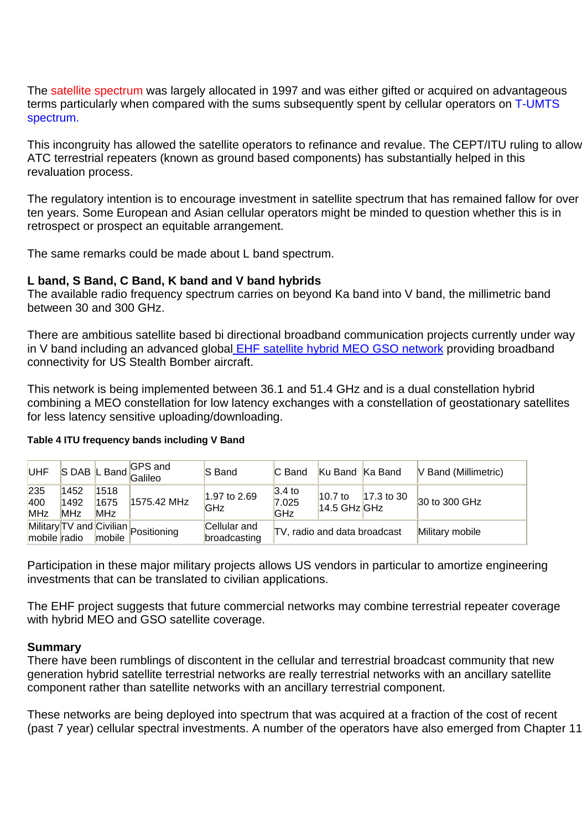The satellite spectrum was largely allocated in 1997 and was either gifted or acquired on advantageous terms particularly when compared with the sums subsequently spent by cellular operators on T-UMTS spectrum.

This incongruity has allowed the satellite operators to refinance and revalue. The CEPT/ITU ruling to allow ATC terrestrial repeaters (known as ground based components) has substantially helped in this revaluation process.

The regulatory intention is to encourage investment in satellite spectrum that has remained fallow for over ten years. Some European and Asian cellular operators might be minded to question whether this is in retrospect or prospect an equitable arrangement.

The same remarks could be made about L band spectrum.

## **L band, S Band, C Band, K band and V band hybrids**

The available radio frequency spectrum carries on beyond Ka band into V band, the millimetric band between 30 and 300 GHz.

There are ambitious satellite based bi directional broadband communication projects currently under way in V band including an advanced globa[l EHF satellite hybrid MEO GSO network](http://www.satnews.com/stories2007/4128.htm) providing broadband connectivity for US Stealth Bomber aircraft.

This network is being implemented between 36.1 and 51.4 GHz and is a dual constellation hybrid combining a MEO constellation for low latency exchanges with a constellation of geostationary satellites for less latency sensitive uploading/downloading.

| <b>UHF</b>               |                            |                            | S DAB L Band GPS and                 | <b>S</b> Band                | C Band                                   | Ku Band Ka Band             |            | V Band (Millimetric) |
|--------------------------|----------------------------|----------------------------|--------------------------------------|------------------------------|------------------------------------------|-----------------------------|------------|----------------------|
| 235<br>400<br><b>MHz</b> | 1452<br>1492<br><b>MHz</b> | 1518<br>1675<br><b>MHz</b> | 1575.42 MHz                          | 1.97 to 2.69<br>GHz          | 3.4 <sub>to</sub><br>7.025<br><b>GHz</b> | $10.7$ to<br>$14.5$ GHz GHz | 17.3 to 30 | 30 to 300 GHz        |
| mobile radio             |                            | mobile                     | Military TV and Civilian Positioning | Cellular and<br>broadcasting | TV, radio and data broadcast             |                             |            | Military mobile      |

#### **Table 4 ITU frequency bands including V Band**

Participation in these major military projects allows US vendors in particular to amortize engineering investments that can be translated to civilian applications.

The EHF project suggests that future commercial networks may combine terrestrial repeater coverage with hybrid MEO and GSO satellite coverage.

## **Summary**

There have been rumblings of discontent in the cellular and terrestrial broadcast community that new generation hybrid satellite terrestrial networks are really terrestrial networks with an ancillary satellite component rather than satellite networks with an ancillary terrestrial component.

These networks are being deployed into spectrum that was acquired at a fraction of the cost of recent (past 7 year) cellular spectral investments. A number of the operators have also emerged from Chapter 11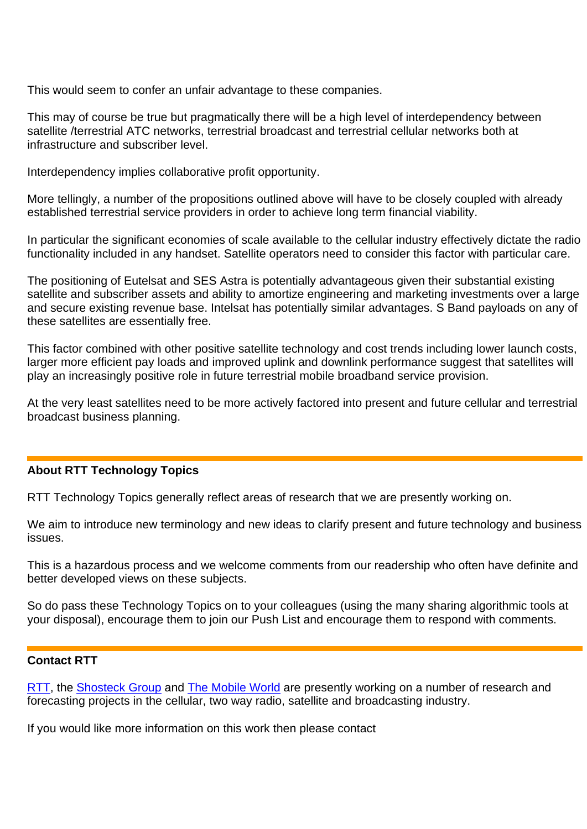This would seem to confer an unfair advantage to these companies.

This may of course be true but pragmatically there will be a high level of interdependency between satellite /terrestrial ATC networks, terrestrial broadcast and terrestrial cellular networks both at infrastructure and subscriber level.

Interdependency implies collaborative profit opportunity.

More tellingly, a number of the propositions outlined above will have to be closely coupled with already established terrestrial service providers in order to achieve long term financial viability.

In particular the significant economies of scale available to the cellular industry effectively dictate the radio functionality included in any handset. Satellite operators need to consider this factor with particular care.

The positioning of Eutelsat and SES Astra is potentially advantageous given their substantial existing satellite and subscriber assets and ability to amortize engineering and marketing investments over a large and secure existing revenue base. Intelsat has potentially similar advantages. S Band payloads on any of these satellites are essentially free.

This factor combined with other positive satellite technology and cost trends including lower launch costs, larger more efficient pay loads and improved uplink and downlink performance suggest that satellites will play an increasingly positive role in future terrestrial mobile broadband service provision.

At the very least satellites need to be more actively factored into present and future cellular and terrestrial broadcast business planning.

## **About RTT Technology Topics**

RTT Technology Topics generally reflect areas of research that we are presently working on.

We aim to introduce new terminology and new ideas to clarify present and future technology and business issues.

This is a hazardous process and we welcome comments from our readership who often have definite and better developed views on these subjects.

So do pass these Technology Topics on to your colleagues (using the many sharing algorithmic tools at your disposal), encourage them to join our Push List and encourage them to respond with comments.

## **Contact RTT**

[RTT](http://www.rttonline.com/), the [Shosteck Group](http://www.shosteck.com/) and [The Mobile World](http://www.themobileworld.com/) are presently working on a number of research and forecasting projects in the cellular, two way radio, satellite and broadcasting industry.

If you would like more information on this work then please contact